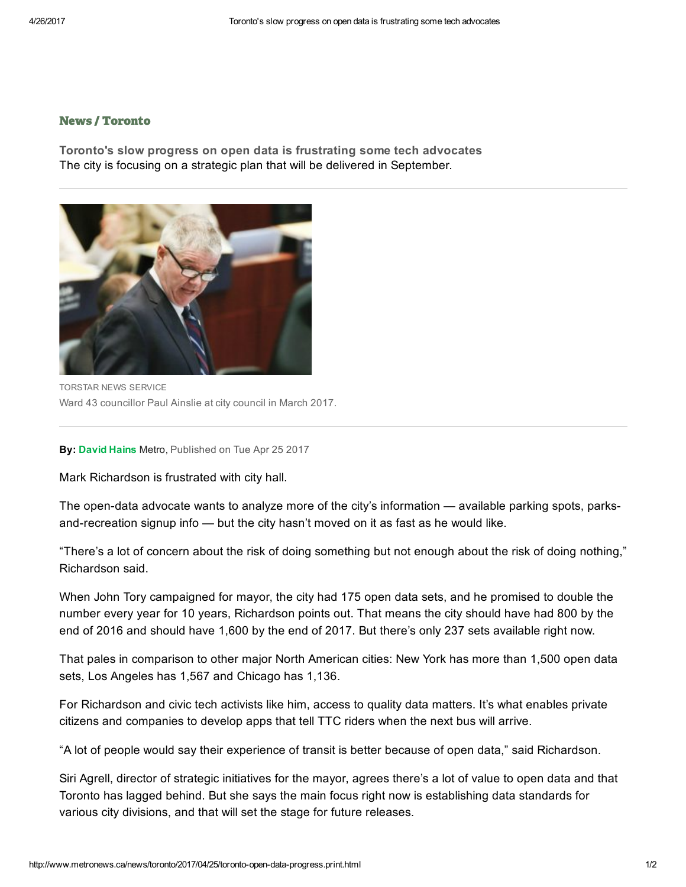## [News](http://www.metronews.ca/news.html) / [Toronto](http://www.metronews.ca/news/toronto.html)

Toronto's slow progress on open data is frustrating some tech advocates The city is focusing on a strategic plan that will be delivered in September.



TORSTAR NEWS SERVICE Ward 43 councillor Paul Ainslie at city council in March 2017.

By: [David](http://www.metronews.ca/authors.david-hains.html) Hains Metro, Published on Tue Apr 25 2017

Mark Richardson is frustrated with city hall.

The open-data advocate wants to analyze more of the city's information — available parking spots, parksand-recreation signup info  $-$  but the city hasn't moved on it as fast as he would like.

"There's a lot of concern about the risk of doing something but not enough about the risk of doing nothing," Richardson said.

When John Tory campaigned for mayor, the city had 175 open data sets, and he promised to double the number every year for 10 years, Richardson points out. That means the city should have had 800 by the end of 2016 and should have 1,600 by the end of 2017. But there's only 237 sets available right now.

That pales in comparison to other major North American cities: New York has more than 1,500 open data sets, Los Angeles has 1,567 and Chicago has 1,136.

For Richardson and civic tech activists like him, access to quality data matters. It's what enables private citizens and companies to develop apps that tell TTC riders when the next bus will arrive.

"A lot of people would say their experience of transit is better because of open data," said Richardson.

Siri Agrell, director of strategic initiatives for the mayor, agrees there's a lot of value to open data and that Toronto has lagged behind. But she says the main focus right now is establishing data standards for various city divisions, and that will set the stage for future releases.